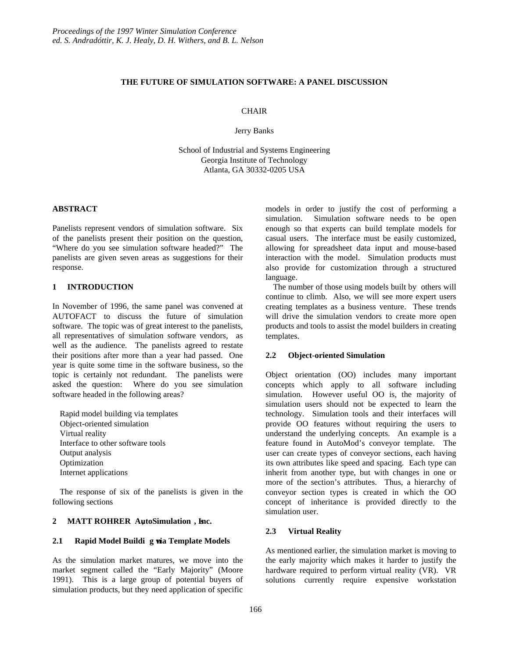# **THE FUTURE OF SIMULATION SOFTWARE: A PANEL DISCUSSION**

### **CHAIR**

Jerry Banks

School of Industrial and Systems Engineering Georgia Institute of Technology Atlanta, GA 30332-0205 USA

#### **ABSTRACT**

Panelists represent vendors of simulation software. Six of the panelists present their position on the question, "Where do you see simulation software headed?" The panelists are given seven areas as suggestions for their response.

# **1 INTRODUCTION**

In November of 1996, the same panel was convened at AUTOFACT to discuss the future of simulation software. The topic was of great interest to the panelists, all representatives of simulation software vendors, as well as the audience. The panelists agreed to restate their positions after more than a year had passed. One year is quite some time in the software business, so the topic is certainly not redundant. The panelists were asked the question: Where do you see simulation software headed in the following areas?

Rapid model building via templates Object-oriented simulation Virtual reality Interface to other software tools Output analysis Optimization Internet applications

The response of six of the panelists is given in the following sections

## **2 MATT ROHRER AutoSimulation , , Inc. s**

## **2.1 Rapid Model Buildi g via Template Models n**

As the simulation market matures, we move into the market segment called the "Early Majority" (Moore 1991). This is a large group of potential buyers of simulation products, but they need application of specific

models in order to justify the cost of performing a simulation. Simulation software needs to be open enough so that experts can build template models for casual users. The interface must be easily customized, allowing for spreadsheet data input and mouse-based interaction with the model. Simulation products must also provide for customization through a structured language.

The number of those using models built by others will continue to climb. Also, we will see more expert users creating templates as a business venture. These trends will drive the simulation vendors to create more open products and tools to assist the model builders in creating templates.

# **2.2 Object-oriented Simulation**

Object orientation (OO) includes many important concepts which apply to all software including simulation. However useful OO is, the majority of simulation users should not be expected to learn the technology. Simulation tools and their interfaces will provide OO features without requiring the users to understand the underlying concepts. An example is a feature found in AutoMod's conveyor template. The user can create types of conveyor sections, each having its own attributes like speed and spacing. Each type can inherit from another type, but with changes in one or more of the section's attributes. Thus, a hierarchy of conveyor section types is created in which the OO concept of inheritance is provided directly to the simulation user.

### **2.3 Virtual Reality**

As mentioned earlier, the simulation market is moving to the early majority which makes it harder to justify the hardware required to perform virtual reality (VR). VR solutions currently require expensive workstation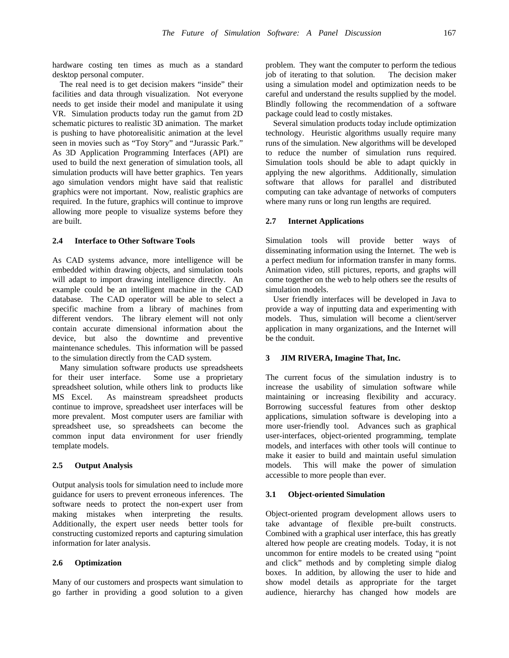hardware costing ten times as much as a standard desktop personal computer.

The real need is to get decision makers "inside" their facilities and data through visualization. Not everyone needs to get inside their model and manipulate it using VR. Simulation products today run the gamut from 2D schematic pictures to realistic 3D animation. The market is pushing to have photorealisitic animation at the level seen in movies such as "Toy Story" and "Jurassic Park." As 3D Application Programming Interfaces (API) are used to build the next generation of simulation tools, all simulation products will have better graphics. Ten years ago simulation vendors might have said that realistic graphics were not important. Now, realistic graphics are required. In the future, graphics will continue to improve allowing more people to visualize systems before they are built.

#### **2.4 Interface to Other Software Tools**

As CAD systems advance, more intelligence will be embedded within drawing objects, and simulation tools will adapt to import drawing intelligence directly. An example could be an intelligent machine in the CAD database. The CAD operator will be able to select a specific machine from a library of machines from different vendors. The library element will not only contain accurate dimensional information about the device, but also the downtime and preventive maintenance schedules. This information will be passed to the simulation directly from the CAD system.

Many simulation software products use spreadsheets for their user interface. Some use a proprietary spreadsheet solution, while others link to products like MS Excel. As mainstream spreadsheet products continue to improve, spreadsheet user interfaces will be more prevalent. Most computer users are familiar with spreadsheet use, so spreadsheets can become the common input data environment for user friendly template models.

# **2.5 Output Analysis**

Output analysis tools for simulation need to include more guidance for users to prevent erroneous inferences. The software needs to protect the non-expert user from making mistakes when interpreting the results. Additionally, the expert user needs better tools for constructing customized reports and capturing simulation information for later analysis.

## **2.6 Optimization**

Many of our customers and prospects want simulation to go farther in providing a good solution to a given

problem. They want the computer to perform the tedious job of iterating to that solution. The decision maker using a simulation model and optimization needs to be careful and understand the results supplied by the model. Blindly following the recommendation of a software package could lead to costly mistakes.

Several simulation products today include optimization technology. Heuristic algorithms usually require many runs of the simulation. New algorithms will be developed to reduce the number of simulation runs required. Simulation tools should be able to adapt quickly in applying the new algorithms. Additionally, simulation software that allows for parallel and distributed computing can take advantage of networks of computers where many runs or long run lengths are required.

#### **2.7 Internet Applications**

Simulation tools will provide better ways of disseminating information using the Internet. The web is a perfect medium for information transfer in many forms. Animation video, still pictures, reports, and graphs will come together on the web to help others see the results of simulation models.

User friendly interfaces will be developed in Java to provide a way of inputting data and experimenting with models. Thus, simulation will become a client/server application in many organizations, and the Internet will be the conduit.

#### **3 JIM RIVERA, Imagine That, Inc.**

The current focus of the simulation industry is to increase the usability of simulation software while maintaining or increasing flexibility and accuracy. Borrowing successful features from other desktop applications, simulation software is developing into a more user-friendly tool. Advances such as graphical user-interfaces, object-oriented programming, template models, and interfaces with other tools will continue to make it easier to build and maintain useful simulation models. This will make the power of simulation accessible to more people than ever.

#### **3.1 Object-oriented Simulation**

Object-oriented program development allows users to take advantage of flexible pre-built constructs. Combined with a graphical user interface, this has greatly altered how people are creating models. Today, it is not uncommon for entire models to be created using "point and click" methods and by completing simple dialog boxes. In addition, by allowing the user to hide and show model details as appropriate for the target audience, hierarchy has changed how models are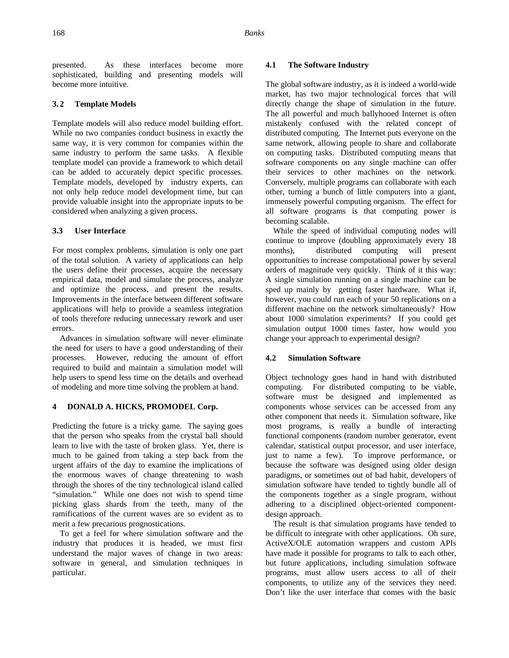presented. As these interfaces become more sophisticated, building and presenting models will become more intuitive.

#### **3. 2 Template Models**

Template models will also reduce model building effort. While no two companies conduct business in exactly the same way, it is very common for companies within the same industry to perform the same tasks. A flexible template model can provide a framework to which detail can be added to accurately depict specific processes. Template models, developed by industry experts, can not only help reduce model development time, but can provide valuable insight into the appropriate inputs to be considered when analyzing a given process.

## **3.3 User Interface**

For most complex problems, simulation is only one part of the total solution. A variety of applications can help the users define their processes, acquire the necessary empirical data, model and simulate the process, analyze and optimize the process, and present the results. Improvements in the interface between different software applications will help to provide a seamless integration of tools therefore reducing unnecessary rework and user errors.

Advances in simulation software will never eliminate the need for users to have a good understanding of their processes. However, reducing the amount of effort required to build and maintain a simulation model will help users to spend less time on the details and overhead of modeling and more time solving the problem at hand.

#### **4 DONALD A. HICKS, PROMODEL Corp.**

Predicting the future is a tricky game. The saying goes that the person who speaks from the crystal ball should learn to live with the taste of broken glass. Yet, there is much to be gained from taking a step back from the urgent affairs of the day to examine the implications of the enormous waves of change threatening to wash through the shores of the tiny technological island called "simulation." While one does not wish to spend time picking glass shards from the teeth, many of the ramifications of the current waves are so evident as to merit a few precarious prognostications.

To get a feel for where simulation software and the industry that produces it is headed, we must first understand the major waves of change in two areas: software in general, and simulation techniques in particular.

### **4.1 The Software Industry**

The global software industry, as it is indeed a world-wide market, has two major technological forces that will directly change the shape of simulation in the future. The all powerful and much ballyhooed Internet is often mistakenly confused with the related concept of distributed computing. The Internet puts everyone on the same network, allowing people to share and collaborate on computing tasks. Distributed computing means that software components on any single machine can offer their services to other machines on the network. Conversely, multiple programs can collaborate with each other, turning a bunch of little computers into a giant, immensely powerful computing organism. The effect for all software programs is that computing power is becoming scalable.

While the speed of individual computing nodes will continue to improve (doubling approximately every 18 months), distributed computing will present opportunities to increase computational power by several orders of magnitude very quickly. Think of it this way: A single simulation running on a single machine can be sped up mainly by getting faster hardware. What if, however, you could run each of your 50 replications on a different machine on the network simultaneously? How about 1000 simulation experiments? If you could get simulation output 1000 times faster, how would you change your approach to experimental design?

#### **4.2 Simulation Software**

Object technology goes hand in hand with distributed computing. For distributed computing to be viable, software must be designed and implemented as components whose services can be accessed from any other component that needs it. Simulation software, like most programs, is really a bundle of interacting functional components (random number generator, event calendar, statistical output processor, and user interface, just to name a few). To improve performance, or because the software was designed using older design paradigms, or sometimes out of bad habit, developers of simulation software have tended to tightly bundle all of the components together as a single program, without adhering to a disciplined object-oriented componentdesign approach.

The result is that simulation programs have tended to be difficult to integrate with other applications. Oh sure, ActiveX/OLE automation wrappers and custom APIs have made it possible for programs to talk to each other, but future applications, including simulation software programs, must allow users access to all of their components, to utilize any of the services they need. Don't like the user interface that comes with the basic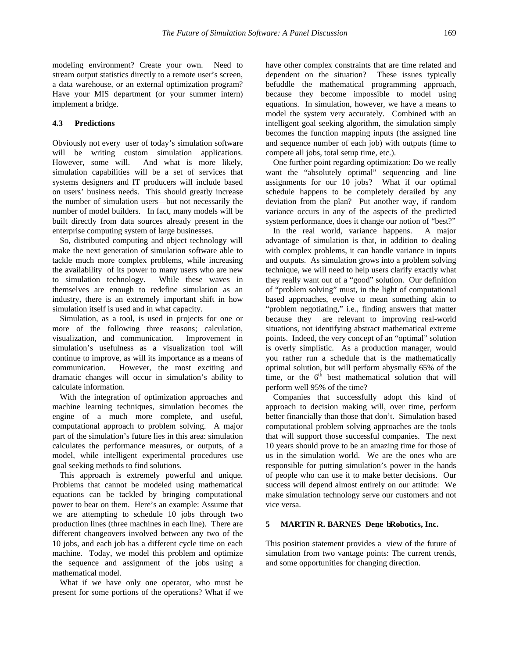modeling environment? Create your own. Need to stream output statistics directly to a remote user's screen, a data warehouse, or an external optimization program? Have your MIS department (or your summer intern) implement a bridge.

# **4.3 Predictions**

Obviously not every user of today's simulation software will be writing custom simulation applications. However, some will. And what is more likely, simulation capabilities will be a set of services that systems designers and IT producers will include based on users' business needs. This should greatly increase the number of simulation users—but not necessarily the number of model builders. In fact, many models will be built directly from data sources already present in the enterprise computing system of large businesses.

So, distributed computing and object technology will make the next generation of simulation software able to tackle much more complex problems, while increasing the availability of its power to many users who are new to simulation technology. While these waves in themselves are enough to redefine simulation as an industry, there is an extremely important shift in how simulation itself is used and in what capacity.

Simulation, as a tool, is used in projects for one or more of the following three reasons; calculation, visualization, and communication. Improvement in simulation's usefulness as a visualization tool will continue to improve, as will its importance as a means of communication. However, the most exciting and dramatic changes will occur in simulation's ability to calculate information.

With the integration of optimization approaches and machine learning techniques, simulation becomes the engine of a much more complete, and useful, computational approach to problem solving. A major part of the simulation's future lies in this area: simulation calculates the performance measures, or outputs, of a model, while intelligent experimental procedures use goal seeking methods to find solutions.

This approach is extremely powerful and unique. Problems that cannot be modeled using mathematical equations can be tackled by bringing computational power to bear on them. Here's an example: Assume that we are attempting to schedule 10 jobs through two production lines (three machines in each line). There are different changeovers involved between any two of the 10 jobs, and each job has a different cycle time on each machine. Today, we model this problem and optimize the sequence and assignment of the jobs using a mathematical model.

What if we have only one operator, who must be present for some portions of the operations? What if we have other complex constraints that are time related and dependent on the situation? These issues typically befuddle the mathematical programming approach, because they become impossible to model using equations. In simulation, however, we have a means to model the system very accurately. Combined with an intelligent goal seeking algorithm, the simulation simply becomes the function mapping inputs (the assigned line and sequence number of each job) with outputs (time to compete all jobs, total setup time, etc.).

One further point regarding optimization: Do we really want the "absolutely optimal" sequencing and line assignments for our 10 jobs? What if our optimal schedule happens to be completely derailed by any deviation from the plan? Put another way, if random variance occurs in any of the aspects of the predicted system performance, does it change our notion of "best?"

In the real world, variance happens. A major advantage of simulation is that, in addition to dealing with complex problems, it can handle variance in inputs and outputs. As simulation grows into a problem solving technique, we will need to help users clarify exactly what they really want out of a "good" solution. Our definition of "problem solving" must, in the light of computational based approaches, evolve to mean something akin to "problem negotiating," i.e., finding answers that matter because they are relevant to improving real-world situations, not identifying abstract mathematical extreme points. Indeed, the very concept of an "optimal" solution is overly simplistic. As a production manager, would you rather run a schedule that is the mathematically optimal solution, but will perform abysmally 65% of the time, or the  $6<sup>th</sup>$  best mathematical solution that will perform well 95% of the time?

Companies that successfully adopt this kind of approach to decision making will, over time, perform better financially than those that don't. Simulation based computational problem solving approaches are the tools that will support those successful companies. The next 10 years should prove to be an amazing time for those of us in the simulation world. We are the ones who are responsible for putting simulation's power in the hands of people who can use it to make better decisions. Our success will depend almost entirely on our attitude: We make simulation technology serve our customers and not vice versa.

#### **5 MARTIN R. BARNES** Dene bRobotics, Inc.

This position statement provides a view of the future of simulation from two vantage points: The current trends, and some opportunities for changing direction.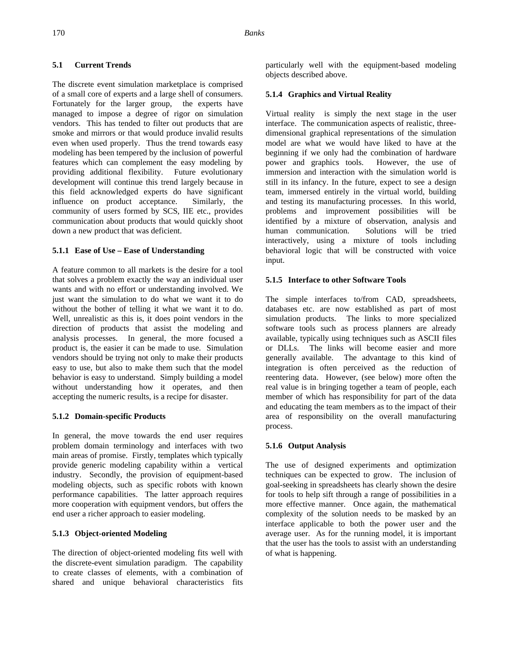# **5.1 Current Trends**

The discrete event simulation marketplace is comprised of a small core of experts and a large shell of consumers. Fortunately for the larger group, the experts have managed to impose a degree of rigor on simulation vendors. This has tended to filter out products that are smoke and mirrors or that would produce invalid results even when used properly. Thus the trend towards easy modeling has been tempered by the inclusion of powerful features which can complement the easy modeling by providing additional flexibility. Future evolutionary development will continue this trend largely because in this field acknowledged experts do have significant influence on product acceptance. Similarly, the community of users formed by SCS, IIE etc., provides communication about products that would quickly shoot down a new product that was deficient.

# **5.1.1 Ease of Use – Ease of Understanding**

A feature common to all markets is the desire for a tool that solves a problem exactly the way an individual user wants and with no effort or understanding involved. We just want the simulation to do what we want it to do without the bother of telling it what we want it to do. Well, unrealistic as this is, it does point vendors in the direction of products that assist the modeling and analysis processes. In general, the more focused a product is, the easier it can be made to use. Simulation vendors should be trying not only to make their products easy to use, but also to make them such that the model behavior is easy to understand. Simply building a model without understanding how it operates, and then accepting the numeric results, is a recipe for disaster.

## **5.1.2 Domain-specific Products**

In general, the move towards the end user requires problem domain terminology and interfaces with two main areas of promise. Firstly, templates which typically provide generic modeling capability within a vertical industry. Secondly, the provision of equipment-based modeling objects, such as specific robots with known performance capabilities. The latter approach requires more cooperation with equipment vendors, but offers the end user a richer approach to easier modeling.

# **5.1.3 Object-oriented Modeling**

The direction of object-oriented modeling fits well with the discrete-event simulation paradigm. The capability to create classes of elements, with a combination of shared and unique behavioral characteristics fits particularly well with the equipment-based modeling objects described above.

# **5.1.4 Graphics and Virtual Reality**

Virtual reality is simply the next stage in the user interface. The communication aspects of realistic, threedimensional graphical representations of the simulation model are what we would have liked to have at the beginning if we only had the combination of hardware power and graphics tools. However, the use of immersion and interaction with the simulation world is still in its infancy. In the future, expect to see a design team, immersed entirely in the virtual world, building and testing its manufacturing processes. In this world, problems and improvement possibilities will be identified by a mixture of observation, analysis and human communication. Solutions will be tried interactively, using a mixture of tools including behavioral logic that will be constructed with voice input.

# **5.1.5 Interface to other Software Tools**

The simple interfaces to/from CAD, spreadsheets, databases etc. are now established as part of most simulation products. The links to more specialized software tools such as process planners are already available, typically using techniques such as ASCII files or DLLs. The links will become easier and more generally available. The advantage to this kind of integration is often perceived as the reduction of reentering data. However, (see below) more often the real value is in bringing together a team of people, each member of which has responsibility for part of the data and educating the team members as to the impact of their area of responsibility on the overall manufacturing process.

# **5.1.6 Output Analysis**

The use of designed experiments and optimization techniques can be expected to grow. The inclusion of goal-seeking in spreadsheets has clearly shown the desire for tools to help sift through a range of possibilities in a more effective manner. Once again, the mathematical complexity of the solution needs to be masked by an interface applicable to both the power user and the average user. As for the running model, it is important that the user has the tools to assist with an understanding of what is happening.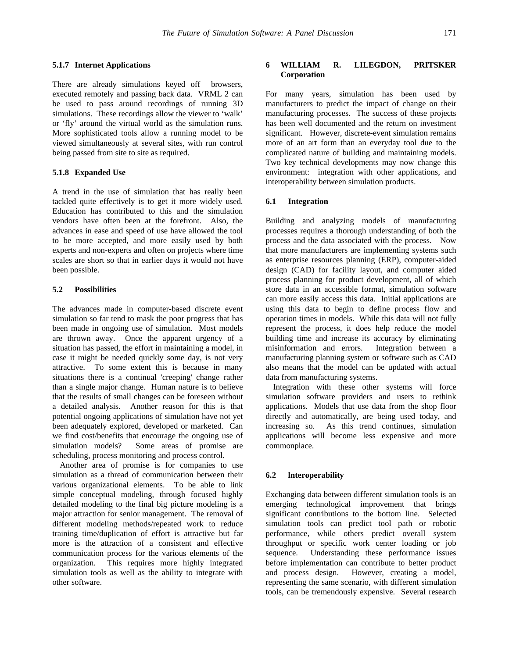### **5.1.7 Internet Applications**

There are already simulations keyed off browsers, executed remotely and passing back data. VRML 2 can be used to pass around recordings of running 3D simulations. These recordings allow the viewer to 'walk' or 'fly' around the virtual world as the simulation runs. More sophisticated tools allow a running model to be viewed simultaneously at several sites, with run control being passed from site to site as required.

### **5.1.8 Expanded Use**

A trend in the use of simulation that has really been tackled quite effectively is to get it more widely used. Education has contributed to this and the simulation vendors have often been at the forefront. Also, the advances in ease and speed of use have allowed the tool to be more accepted, and more easily used by both experts and non-experts and often on projects where time scales are short so that in earlier days it would not have been possible.

## **5.2 Possibilities**

The advances made in computer-based discrete event simulation so far tend to mask the poor progress that has been made in ongoing use of simulation. Most models are thrown away. Once the apparent urgency of a situation has passed, the effort in maintaining a model, in case it might be needed quickly some day, is not very attractive. To some extent this is because in many situations there is a continual 'creeping' change rather than a single major change. Human nature is to believe that the results of small changes can be foreseen without a detailed analysis. Another reason for this is that potential ongoing applications of simulation have not yet been adequately explored, developed or marketed. Can we find cost/benefits that encourage the ongoing use of simulation models? Some areas of promise are scheduling, process monitoring and process control.

Another area of promise is for companies to use simulation as a thread of communication between their various organizational elements. To be able to link simple conceptual modeling, through focused highly detailed modeling to the final big picture modeling is a major attraction for senior management. The removal of different modeling methods/repeated work to reduce training time/duplication of effort is attractive but far more is the attraction of a consistent and effective communication process for the various elements of the organization. This requires more highly integrated simulation tools as well as the ability to integrate with other software.

## **6 WILLIAM R. LILEGDON, PRITSKER Corporation**

For many years, simulation has been used by manufacturers to predict the impact of change on their manufacturing processes. The success of these projects has been well documented and the return on investment significant. However, discrete-event simulation remains more of an art form than an everyday tool due to the complicated nature of building and maintaining models. Two key technical developments may now change this environment: integration with other applications, and interoperability between simulation products.

### **6.1 Integration**

Building and analyzing models of manufacturing processes requires a thorough understanding of both the process and the data associated with the process. Now that more manufacturers are implementing systems such as enterprise resources planning (ERP), computer-aided design (CAD) for facility layout, and computer aided process planning for product development, all of which store data in an accessible format, simulation software can more easily access this data. Initial applications are using this data to begin to define process flow and operation times in models. While this data will not fully represent the process, it does help reduce the model building time and increase its accuracy by eliminating misinformation and errors. Integration between a manufacturing planning system or software such as CAD also means that the model can be updated with actual data from manufacturing systems.

Integration with these other systems will force simulation software providers and users to rethink applications. Models that use data from the shop floor directly and automatically, are being used today, and increasing so. As this trend continues, simulation applications will become less expensive and more commonplace.

### **6.2 lnteroperability**

Exchanging data between different simulation tools is an emerging technological improvement that brings significant contributions to the bottom line. Selected simulation tools can predict tool path or robotic performance, while others predict overall system throughput or specific work center loading or job sequence. Understanding these performance issues before implementation can contribute to better product and process design. However, creating a model, representing the same scenario, with different simulation tools, can be tremendously expensive. Several research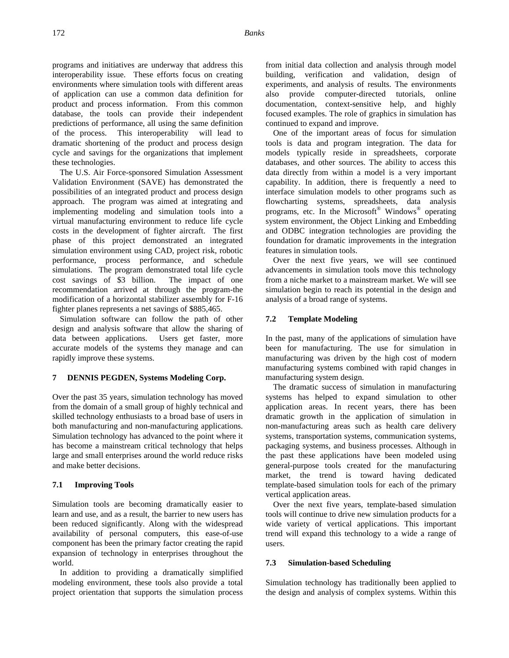programs and initiatives are underway that address this interoperability issue. These efforts focus on creating environments where simulation tools with different areas of application can use a common data definition for product and process information. From this common database, the tools can provide their independent predictions of performance, all using the same definition of the process. This interoperability will lead to dramatic shortening of the product and process design cycle and savings for the organizations that implement these technologies.

The U.S. Air Force-sponsored Simulation Assessment Validation Environment (SAVE) has demonstrated the possibilities of an integrated product and process design approach. The program was aimed at integrating and implementing modeling and simulation tools into a virtual manufacturing environment to reduce life cycle costs in the development of fighter aircraft. The first phase of this project demonstrated an integrated simulation environment using CAD, project risk, robotic performance, process performance, and schedule simulations. The program demonstrated total life cycle cost savings of \$3 billion. The impact of one recommendation arrived at through the program-the modification of a horizontal stabilizer assembly for F-16 fighter planes represents a net savings of \$885,465.

Simulation software can follow the path of other design and analysis software that allow the sharing of data between applications. Users get faster, more accurate models of the systems they manage and can rapidly improve these systems.

## **7 DENNIS PEGDEN, Systems Modeling Corp.**

Over the past 35 years, simulation technology has moved from the domain of a small group of highly technical and skilled technology enthusiasts to a broad base of users in both manufacturing and non-manufacturing applications. Simulation technology has advanced to the point where it has become a mainstream critical technology that helps large and small enterprises around the world reduce risks and make better decisions.

### **7.1 Improving Tools**

Simulation tools are becoming dramatically easier to learn and use, and as a result, the barrier to new users has been reduced significantly. Along with the widespread availability of personal computers, this ease-of-use component has been the primary factor creating the rapid expansion of technology in enterprises throughout the world.

In addition to providing a dramatically simplified modeling environment, these tools also provide a total project orientation that supports the simulation process

from initial data collection and analysis through model building, verification and validation, design of experiments, and analysis of results. The environments also provide computer-directed tutorials, online documentation, context-sensitive help, and highly focused examples. The role of graphics in simulation has continued to expand and improve.

One of the important areas of focus for simulation tools is data and program integration. The data for models typically reside in spreadsheets, corporate databases, and other sources. The ability to access this data directly from within a model is a very important capability. In addition, there is frequently a need to interface simulation models to other programs such as flowcharting systems, spreadsheets, data analysis programs, etc. In the Microsoft® Windows® operating system environment, the Object Linking and Embedding and ODBC integration technologies are providing the foundation for dramatic improvements in the integration features in simulation tools.

Over the next five years, we will see continued advancements in simulation tools move this technology from a niche market to a mainstream market. We will see simulation begin to reach its potential in the design and analysis of a broad range of systems.

### **7.2 Template Modeling**

In the past, many of the applications of simulation have been for manufacturing. The use for simulation in manufacturing was driven by the high cost of modern manufacturing systems combined with rapid changes in manufacturing system design.

The dramatic success of simulation in manufacturing systems has helped to expand simulation to other application areas. In recent years, there has been dramatic growth in the application of simulation in non-manufacturing areas such as health care delivery systems, transportation systems, communication systems, packaging systems, and business processes. Although in the past these applications have been modeled using general-purpose tools created for the manufacturing market, the trend is toward having dedicated template-based simulation tools for each of the primary vertical application areas.

Over the next five years, template-based simulation tools will continue to drive new simulation products for a wide variety of vertical applications. This important trend will expand this technology to a wide a range of users.

#### **7.3 Simulation-based Scheduling**

Simulation technology has traditionally been applied to the design and analysis of complex systems. Within this